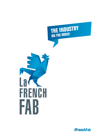



**#FrenchFab**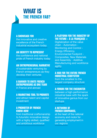# **WHAT IS THE FRENCH FAB?**

#### **A SHOWCASE FOR**

the innovative and creative excellence of the French industrial ecosystem today

### **AN IDENTITY TO REPRESENT**

the confidence and national pride of French industry today

### **AN ENTREPRENEURIAL NARRATIVE**

of sustainable venturing by French entrepreneurs as they develop their ventures

# **A BANNER TO UNITE FRENCH ENTREPRENEURS AS ONE TEAM**

in France and abroad

### **A MARKETING TOOL TO PROMOTE**

and attract talent and capital investment

#### **A PROMOTER OF FRENCH KNOW-HOW**

from traditional craftsmanship to futuristic innovative design with a highly skilled, qualified and ambitious workforce

#### **A PLATFORM FOR THE INDUSTRY OF THE FUTURE « À LA FRANÇAISE »:**

Digitalization of the value chain - Automation - Monitoring and Control - Energy Efficiency, Environmental Footprint - Composites, New Materials and Assembly - Additive Manufacturing and workforce agility

# **A HUB FOR THE ENTIRE FRENCH INDUSTRIAL ECOSYSTEM**

from the smallest to the largest company structure

#### **A FORUM FOR THE ENCOUNTER**

between a high-performance industrial base with the spark of innovative genius from our startups

#### **A NETWORK OF FRENCH COMPANIES,**

at the heart of the national economy and motor for generating employment in our regions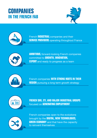# **COMPANIES IN THE FRENCH FAB**





French **INDUSTRIAL** companies and their **SERVICE PROVIDERS** operating throughout France



**AMBITIOUS,** forward-looking French companies committed to **GROWTH, INNOVATION, EXPORT** and ready to progress as a team



French companies **WITH STRONG ROOTS IN THEIR REGION** pursuing a long term growth strategy



**FRENCH SMI, ETI, AND MAJOR INDUSTRIAL GROUPS** focused on **GENERATING EMPLOYMENT**



French companies open to the evolutions brought by the **DIGITAL, NEW TECHNOLOGIES, GREEN ECONOMY** and that have the capacity to reinvent themselves